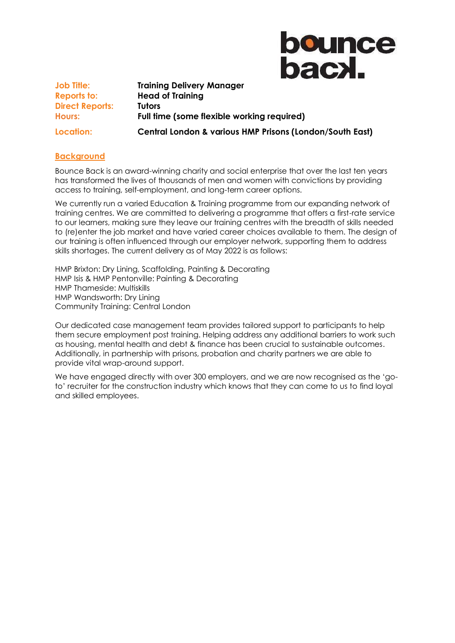**bounce** bacx.

**Job Title: Training Delivery Manager Reports to: Head of Training Direct Reports: Tutors Hours: Full time (some flexible working required) Location: Central London & various HMP Prisons (London/South East)** 

### **Background**

Bounce Back is an award-winning charity and social enterprise that over the last ten years has transformed the lives of thousands of men and women with convictions by providing access to training, self-employment, and long-term career options.

We currently run a varied Education & Training programme from our expanding network of training centres. We are committed to delivering a programme that offers a first-rate service to our learners, making sure they leave our training centres with the breadth of skills needed to (re)enter the job market and have varied career choices available to them. The design of our training is often influenced through our employer network, supporting them to address skills shortages. The current delivery as of May 2022 is as follows:

HMP Brixton: Dry Lining, Scaffolding, Painting & Decorating HMP Isis & HMP Pentonville: Painting & Decorating HMP Thameside: Multiskills HMP Wandsworth: Dry Lining Community Training: Central London

Our dedicated case management team provides tailored support to participants to help them secure employment post training. Helping address any additional barriers to work such as housing, mental health and debt & finance has been crucial to sustainable outcomes. Additionally, in partnership with prisons, probation and charity partners we are able to provide vital wrap-around support.

We have engaged directly with over 300 employers, and we are now recognised as the 'goto' recruiter for the construction industry which knows that they can come to us to find loyal and skilled employees.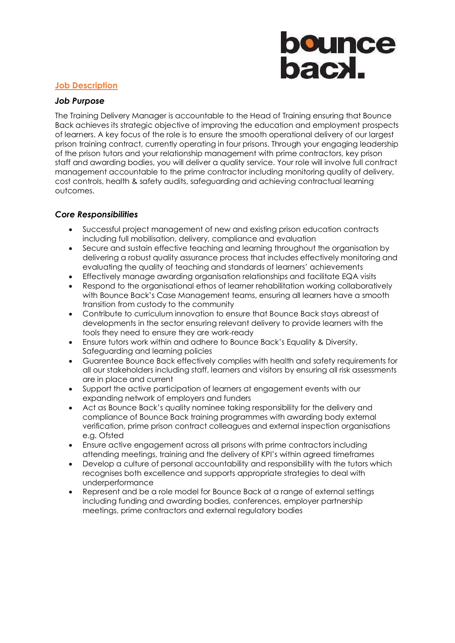## **bounce<br>bacxl.**

### **Job Description**

### *Job Purpose*

The Training Delivery Manager is accountable to the Head of Training ensuring that Bounce Back achieves its strategic objective of improving the education and employment prospects of learners. A key focus of the role is to ensure the smooth operational delivery of our largest prison training contract, currently operating in four prisons. Through your engaging leadership of the prison tutors and your relationship management with prime contractors, key prison staff and awarding bodies, you will deliver a quality service. Your role will involve full contract management accountable to the prime contractor including monitoring quality of delivery, cost controls, health & safety audits, safeguarding and achieving contractual learning outcomes.

### *Core Responsibilities*

- Successful project management of new and existing prison education contracts including full mobilisation, delivery, compliance and evaluation
- Secure and sustain effective teaching and learning throughout the organisation by delivering a robust quality assurance process that includes effectively monitoring and evaluating the quality of teaching and standards of learners' achievements
- Effectively manage awarding organisation relationships and facilitate EQA visits
- Respond to the organisational ethos of learner rehabilitation working collaboratively with Bounce Back's Case Management teams, ensuring all learners have a smooth transition from custody to the community
- Contribute to curriculum innovation to ensure that Bounce Back stays abreast of developments in the sector ensuring relevant delivery to provide learners with the tools they need to ensure they are work-ready
- Ensure tutors work within and adhere to Bounce Back's Equality & Diversity, Safeguarding and learning policies
- Guarentee Bounce Back effectively complies with health and safety requirements for all our stakeholders including staff, learners and visitors by ensuring all risk assessments are in place and current
- Support the active participation of learners at engagement events with our expanding network of employers and funders
- Act as Bounce Back's quality nominee taking responsibility for the delivery and compliance of Bounce Back training programmes with awarding body external verification, prime prison contract colleagues and external inspection organisations e.g. Ofsted
- Ensure active engagement across all prisons with prime contractors including attending meetings, training and the delivery of KPI's within agreed timeframes
- Develop a culture of personal accountability and responsibility with the tutors which recognises both excellence and supports appropriate strategies to deal with underperformance
- Represent and be a role model for Bounce Back at a range of external settings including funding and awarding bodies, conferences, employer partnership meetings, prime contractors and external regulatory bodies